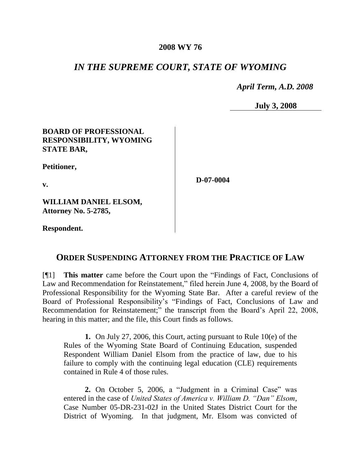### **2008 WY 76**

# *IN THE SUPREME COURT, STATE OF WYOMING*

 *April Term, A.D. 2008*

**July 3, 2008**

### **BOARD OF PROFESSIONAL RESPONSIBILITY, WYOMING STATE BAR,**

**Petitioner,**

**v.**

**D-07-0004**

**WILLIAM DANIEL ELSOM, Attorney No. 5-2785,**

**Respondent.**

### **ORDER SUSPENDING ATTORNEY FROM THE PRACTICE OF LAW**

[¶1] **This matter** came before the Court upon the "Findings of Fact, Conclusions of Law and Recommendation for Reinstatement," filed herein June 4, 2008, by the Board of Professional Responsibility for the Wyoming State Bar. After a careful review of the Board of Professional Responsibility's "Findings of Fact, Conclusions of Law and Recommendation for Reinstatement;" the transcript from the Board's April 22, 2008, hearing in this matter; and the file, this Court finds as follows.

**1.** On July 27, 2006, this Court, acting pursuant to Rule 10(e) of the Rules of the Wyoming State Board of Continuing Education, suspended Respondent William Daniel Elsom from the practice of law, due to his failure to comply with the continuing legal education (CLE) requirements contained in Rule 4 of those rules.

**2.** On October 5, 2006, a "Judgment in a Criminal Case" was entered in the case of *United States of America v. William D. "Dan" Elsom*, Case Number 05-DR-231-02J in the United States District Court for the District of Wyoming. In that judgment, Mr. Elsom was convicted of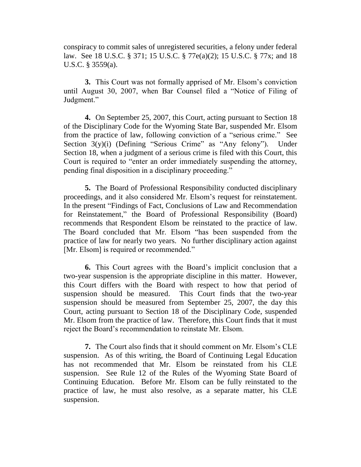conspiracy to commit sales of unregistered securities, a felony under federal law. See 18 U.S.C. § 371; 15 U.S.C. § 77e(a)(2); 15 U.S.C. § 77x; and 18 U.S.C. § 3559(a).

**3.** This Court was not formally apprised of Mr. Elsom's conviction until August 30, 2007, when Bar Counsel filed a "Notice of Filing of Judgment."

**4.** On September 25, 2007, this Court, acting pursuant to Section 18 of the Disciplinary Code for the Wyoming State Bar, suspended Mr. Elsom from the practice of law, following conviction of a "serious crime." See Section 3(y)(i) (Defining "Serious Crime" as "Any felony"). Under Section 18, when a judgment of a serious crime is filed with this Court, this Court is required to "enter an order immediately suspending the attorney, pending final disposition in a disciplinary proceeding."

**5.** The Board of Professional Responsibility conducted disciplinary proceedings, and it also considered Mr. Elsom's request for reinstatement. In the present "Findings of Fact, Conclusions of Law and Recommendation for Reinstatement," the Board of Professional Responsibility (Board) recommends that Respondent Elsom be reinstated to the practice of law. The Board concluded that Mr. Elsom "has been suspended from the practice of law for nearly two years. No further disciplinary action against [Mr. Elsom] is required or recommended."

**6.** This Court agrees with the Board's implicit conclusion that a two-year suspension is the appropriate discipline in this matter. However, this Court differs with the Board with respect to how that period of suspension should be measured. This Court finds that the two-year suspension should be measured from September 25, 2007, the day this Court, acting pursuant to Section 18 of the Disciplinary Code, suspended Mr. Elsom from the practice of law. Therefore, this Court finds that it must reject the Board's recommendation to reinstate Mr. Elsom.

**7.** The Court also finds that it should comment on Mr. Elsom's CLE suspension. As of this writing, the Board of Continuing Legal Education has not recommended that Mr. Elsom be reinstated from his CLE suspension. See Rule 12 of the Rules of the Wyoming State Board of Continuing Education. Before Mr. Elsom can be fully reinstated to the practice of law, he must also resolve, as a separate matter, his CLE suspension.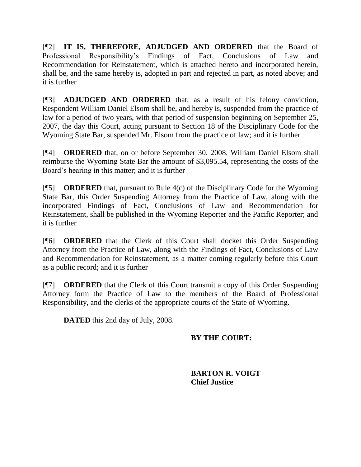[¶2] **IT IS, THEREFORE, ADJUDGED AND ORDERED** that the Board of Professional Responsibility's Findings of Fact, Conclusions of Law and Recommendation for Reinstatement, which is attached hereto and incorporated herein, shall be, and the same hereby is, adopted in part and rejected in part, as noted above; and it is further

[¶3] **ADJUDGED AND ORDERED** that, as a result of his felony conviction, Respondent William Daniel Elsom shall be, and hereby is, suspended from the practice of law for a period of two years, with that period of suspension beginning on September 25, 2007, the day this Court, acting pursuant to Section 18 of the Disciplinary Code for the Wyoming State Bar, suspended Mr. Elsom from the practice of law; and it is further

[¶4] **ORDERED** that, on or before September 30, 2008, William Daniel Elsom shall reimburse the Wyoming State Bar the amount of \$3,095.54, representing the costs of the Board's hearing in this matter; and it is further

[¶5] **ORDERED** that, pursuant to Rule 4(c) of the Disciplinary Code for the Wyoming State Bar, this Order Suspending Attorney from the Practice of Law, along with the incorporated Findings of Fact, Conclusions of Law and Recommendation for Reinstatement, shall be published in the Wyoming Reporter and the Pacific Reporter; and it is further

[¶6] **ORDERED** that the Clerk of this Court shall docket this Order Suspending Attorney from the Practice of Law, along with the Findings of Fact, Conclusions of Law and Recommendation for Reinstatement, as a matter coming regularly before this Court as a public record; and it is further

[¶7] **ORDERED** that the Clerk of this Court transmit a copy of this Order Suspending Attorney form the Practice of Law to the members of the Board of Professional Responsibility, and the clerks of the appropriate courts of the State of Wyoming.

**DATED** this 2nd day of July, 2008.

## **BY THE COURT:**

**BARTON R. VOIGT Chief Justice**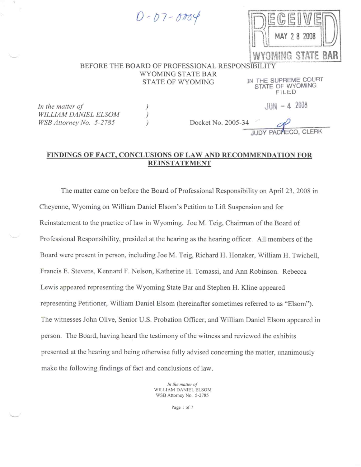$0 - 07 - 0004$ 



#### BEFORE THE BOARD OF PROFESSIONAL RESPONSIBILITY WYOMING STATE BAR STATE OF WYOMING

 $\mathcal{C}$ 

IN THE SUPREME COURT STATE OF WYOMING FILED

In the matter of WILLIAM DANIEL ELSOM WSB Attorney No. 5-2785

 $JHN - 42008$ 

Docket No. 2005-34

### FINDINGS OF FACT, CONCLUSIONS OF LAW AND RECOMMENDATION FOR **REINSTATEMENT**

The matter came on before the Board of Professional Responsibility on April 23, 2008 in Cheyenne, Wyoming on William Daniel Elsom's Petition to Lift Suspension and for Reinstatement to the practice of law in Wyoming. Joe M. Teig, Chairman of the Board of Professional Responsibility, presided at the hearing as the hearing officer. All members of the Board were present in person, including Joe M. Teig, Richard H. Honaker, William H. Twichell, Francis E. Stevens, Kennard F. Nelson, Katherine H. Tomassi, and Ann Robinson. Rebecca Lewis appeared representing the Wyoming State Bar and Stephen H. Kline appeared representing Petitioner, William Daniel Elsom (hereinafter sometimes referred to as "Elsom"). The witnesses John Olive, Senior U.S. Probation Officer, and William Daniel Elsom appeared in person. The Board, having heard the testimony of the witness and reviewed the exhibits presented at the hearing and being otherwise fully advised concerning the matter, unanimously make the following findings of fact and conclusions of law.

> In the matter of WILLIAM DANIEL ELSOM WSB Attorney No. 5-2785

> > Page 1 of 7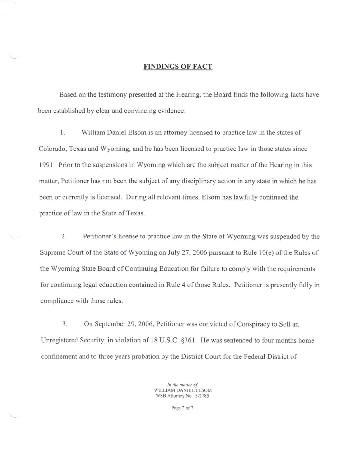#### **FINDINGS OF FACT**

Based on the testimony presented at the Hearing, the Board finds the following facts have been established by clear and convincing evidence:

1. William Daniel Elsom is an attorney licensed to practice law in the states of Colorado, Texas and Wyoming, and he has been licensed to practice law in those states since 1991. Prior to the suspensions in Wyoming which are the subject matter of the Hearing in this matter, Petitioner has not been the subject of any disciplinary action in any state in which he has been or currently is licensed. During all relevant times, Elsom has lawfully continued the practice of law in the State of Texas.

2. Petitioner's license to practice law in the State of Wyoming was suspended by the Supreme Court of the State of Wyoming on July 27, 2006 pursuant to Rule 10(e) of the Rules of the Wyoming State Board of Continuing Education for failure to comply with the requirements for continuing legal education contained in Rule 4 of those Rules. Petitioner is presently fully in compliance with those rules.

3. On September 29, 2006, Petitioner was convicted of Conspiracy to Sell an Unregistered Security, in violation of 18 U.S.C. §361. He was sentenced to four months home confinement and to three years probation by the District Court for the Federal District of

> In the matter of WILLIAM DANIEL ELSOM WSB Attorney No. 5-2785

> > Page 2 of 7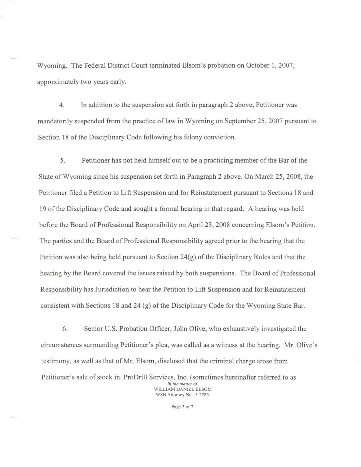Wyoming. The Federal District Court terminated Elsom's probation on October 1, 2007, approximately two years early.

4. In addition to the suspension set forth in paragraph 2 above, Petitioner was mandatorily suspended from the practice of law in Wyoming on September 25, 2007 pursuant to Section 18 of the Disciplinary Code following his felony conviction.

5. Petitioner has not held himself out to be a practicing member of the Bar of the State of Wyoming since his suspension set forth in Paragraph 2 above. On March 25, 2008, the Petitioner filed a Petition to Lift Suspension and for Reinstatement pursuant to Sections 18 and 19 of the Disciplinary Code and sought a formal hearing in that regard. A hearing was held before the Board of Professional Responsibility on April 23, 2008 concerning Elsom's Petition. The parties and the Board of Professional Responsibility agreed prior to the hearing that the Petition was also being held pursuant to Section  $24(g)$  of the Disciplinary Rules and that the hearing by the Board covered the issues raised by both suspensions. The Board of Professional Responsibility has Jurisdiction to hear the Petition to Lift Suspension and for Reinstatement consistent with Sections 18 and 24 (g) of the Disciplinary Code for the Wyoming State Bar.

6. Senior U.S. Probation Officer, John Olive, who exhaustively investigated the circumstances surrounding Petitioner's plea, was called as a witness at the hearing. Mr. Olive's testimony, as well as that of Mr. Elsom, disclosed that the criminal charge arose from Petitioner's sale of stock in. ProDrill Services, Inc. (sometimes hereinafter referred to as In the matter of WILLIAM DANIEL ELSOM

WSB Attorney No. 5-2785

Page 3 of 7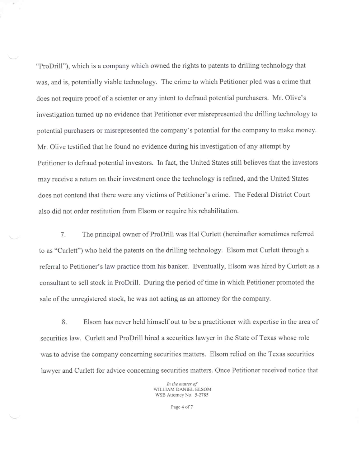"ProDrill"), which is a company which owned the rights to patents to drilling technology that was, and is, potentially viable technology. The crime to which Petitioner pled was a crime that does not require proof of a scienter or any intent to defraud potential purchasers. Mr. Olive's investigation turned up no evidence that Petitioner ever misrepresented the drilling technology to potential purchasers or misrepresented the company's potential for the company to make money. Mr. Olive testified that he found no evidence during his investigation of any attempt by Petitioner to defraud potential investors. In fact, the United States still believes that the investors may receive a return on their investment once the technology is refined, and the United States does not contend that there were any victims of Petitioner's crime. The Federal District Court also did not order restitution from Elsom or require his rehabilitation.

7. The principal owner of ProDrill was Hal Curlett (hereinafter sometimes referred to as "Curlett") who held the patents on the drilling technology. Elsom met Curlett through a referral to Petitioner's law practice from his banker. Eventually, Elsom was hired by Curlett as a consultant to sell stock in ProDrill. During the period of time in which Petitioner promoted the sale of the unregistered stock, he was not acting as an attorney for the company.

Elsom has never held himself out to be a practitioner with expertise in the area of 8. securities law. Curlett and ProDrill hired a securities lawyer in the State of Texas whose role was to advise the company concerning securities matters. Elsom relied on the Texas securities lawyer and Curlett for advice concerning securities matters. Once Petitioner received notice that

> In the matter of WILLIAM DANIEL ELSOM WSB Attorney No. 5-2785

> > Page 4 of 7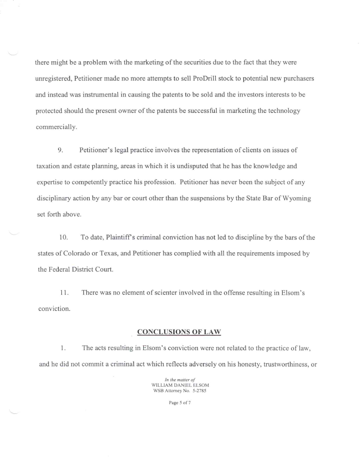there might be a problem with the marketing of the securities due to the fact that they were unregistered, Petitioner made no more attempts to sell ProDrill stock to potential new purchasers and instead was instrumental in causing the patents to be sold and the investors interests to be protected should the present owner of the patents be successful in marketing the technology commercially.

9. Petitioner's legal practice involves the representation of clients on issues of taxation and estate planning, areas in which it is undisputed that he has the knowledge and expertise to competently practice his profession. Petitioner has never been the subject of any disciplinary action by any bar or court other than the suspensions by the State Bar of Wyoming set forth above.

10. To date, Plaintiff's criminal conviction has not led to discipline by the bars of the states of Colorado or Texas, and Petitioner has complied with all the requirements imposed by the Federal District Court.

 $11.$ There was no element of scienter involved in the offense resulting in Elsom's conviction.

#### **CONCLUSIONS OF LAW**

1. The acts resulting in Elsom's conviction were not related to the practice of law, and he did not commit a criminal act which reflects adversely on his honesty, trustworthiness, or

> In the matter of WILLIAM DANIEL ELSOM WSB Attorney No. 5-2785

> > Page 5 of 7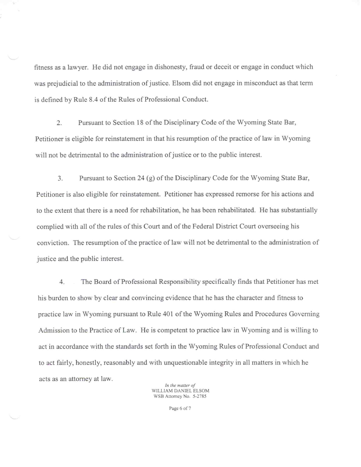fitness as a lawyer. He did not engage in dishonesty, fraud or deceit or engage in conduct which was prejudicial to the administration of justice. Elsom did not engage in misconduct as that term is defined by Rule 8.4 of the Rules of Professional Conduct.

 $2.$ Pursuant to Section 18 of the Disciplinary Code of the Wyoming State Bar, Petitioner is eligible for reinstatement in that his resumption of the practice of law in Wyoming will not be detrimental to the administration of justice or to the public interest.

Pursuant to Section 24 (g) of the Disciplinary Code for the Wyoming State Bar, 3. Petitioner is also eligible for reinstatement. Petitioner has expressed remorse for his actions and to the extent that there is a need for rehabilitation, he has been rehabilitated. He has substantially complied with all of the rules of this Court and of the Federal District Court overseeing his conviction. The resumption of the practice of law will not be detrimental to the administration of justice and the public interest.

4. The Board of Professional Responsibility specifically finds that Petitioner has met his burden to show by clear and convincing evidence that he has the character and fitness to practice law in Wyoming pursuant to Rule 401 of the Wyoming Rules and Procedures Governing Admission to the Practice of Law. He is competent to practice law in Wyoming and is willing to act in accordance with the standards set forth in the Wyoming Rules of Professional Conduct and to act fairly, honestly, reasonably and with unquestionable integrity in all matters in which he acts as an attorney at law.

In the matter of WILLIAM DANIEL ELSOM WSB Attorney No. 5-2785

Page 6 of 7